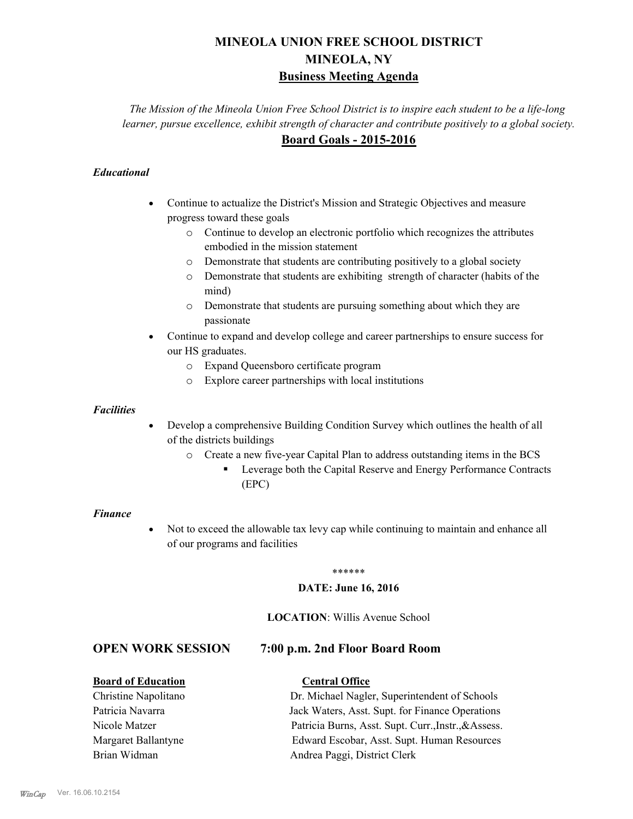# **MINEOLA UNION FREE SCHOOL DISTRICT MINEOLA, NY Business Meeting Agenda**

*The Mission of the Mineola Union Free School District is to inspire each student to be a life-long learner, pursue excellence, exhibit strength of character and contribute positively to a global society.* **Board Goals - 2015-2016**

## *Educational*

- · Continue to actualize the District's Mission and Strategic Objectives and measure progress toward these goals
	- o Continue to develop an electronic portfolio which recognizes the attributes embodied in the mission statement
	- o Demonstrate that students are contributing positively to a global society
	- o Demonstrate that students are exhibiting strength of character (habits of the mind)
	- o Demonstrate that students are pursuing something about which they are passionate
- Continue to expand and develop college and career partnerships to ensure success for our HS graduates.
	- o Expand Queensboro certificate program
	- o Explore career partnerships with local institutions

#### *Facilities*

- Develop a comprehensive Building Condition Survey which outlines the health of all of the districts buildings
	- o Create a new five-year Capital Plan to address outstanding items in the BCS
		- § Leverage both the Capital Reserve and Energy Performance Contracts (EPC)

#### *Finance*

• Not to exceed the allowable tax levy cap while continuing to maintain and enhance all of our programs and facilities

#### \*\*\*\*\*\*

#### **DATE: June 16, 2016**

#### **LOCATION**: Willis Avenue School

# **OPEN WORK SESSION 7:00 p.m. 2nd Floor Board Room**

### **Board of Education Central Office**

# Christine Napolitano Dr. Michael Nagler, Superintendent of Schools Patricia Navarra Jack Waters, Asst. Supt. for Finance Operations Nicole Matzer Patricia Burns, Asst. Supt. Curr.,Instr.,&Assess. Margaret Ballantyne Edward Escobar, Asst. Supt. Human Resources Brian Widman **Andrea Paggi, District Clerk**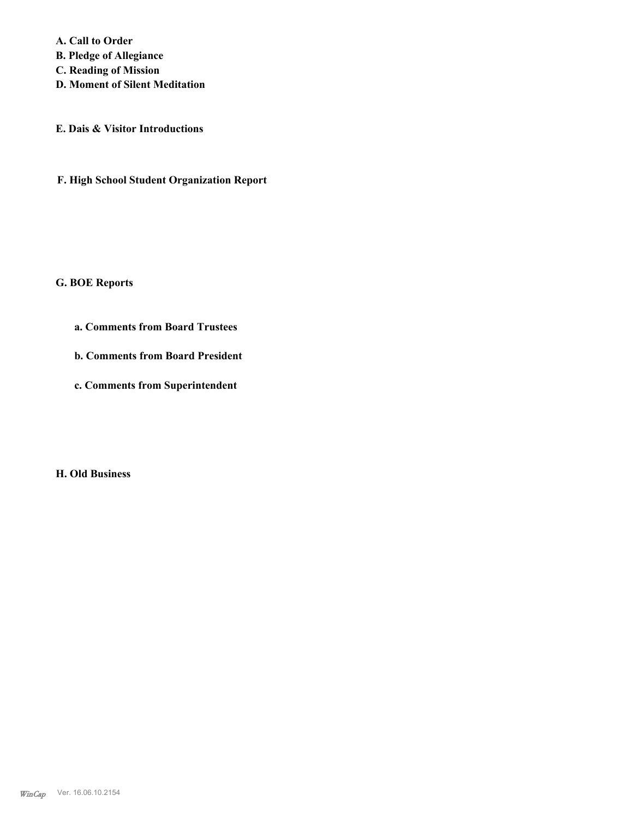**A. Call to Order** 

**B. Pledge of Allegiance**

**C. Reading of Mission**

**D. Moment of Silent Meditation**

**E. Dais & Visitor Introductions**

**F. High School Student Organization Report**

#### **G. BOE Reports**

- **a. Comments from Board Trustees**
- **b. Comments from Board President**
- **c. Comments from Superintendent**

**H. Old Business**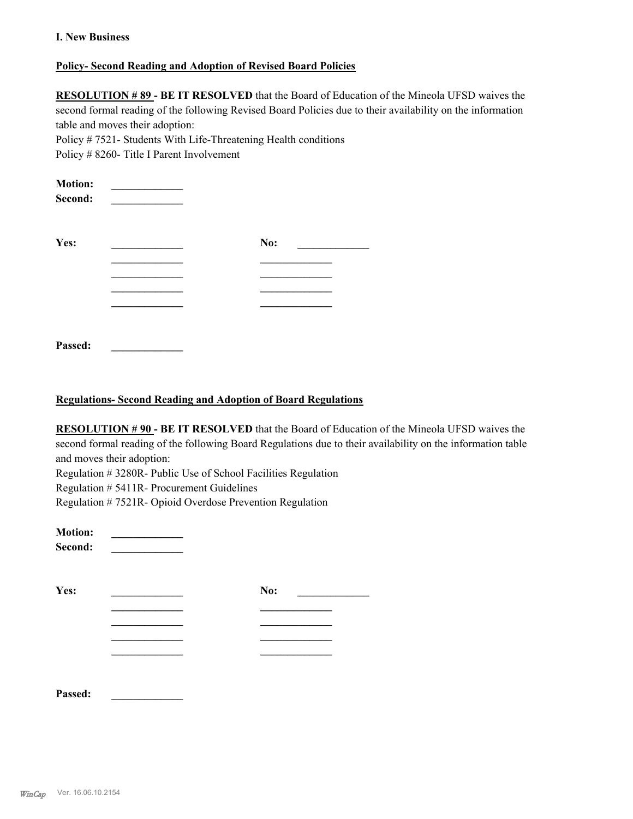#### **I. New Business**

#### **Policy- Second Reading and Adoption of Revised Board Policies**

**RESOLUTION # 89 - BE IT RESOLVED** that the Board of Education of the Mineola UFSD waives the second formal reading of the following Revised Board Policies due to their availability on the information table and moves their adoption:

Policy # 7521- Students With Life-Threatening Health conditions

Policy # 8260- Title I Parent Involvement

| <b>Motion:</b><br>Second: |     |  |
|---------------------------|-----|--|
| Yes:                      | No: |  |
|                           |     |  |
|                           |     |  |
|                           |     |  |
|                           |     |  |
| Passed:                   |     |  |

#### **Regulations- Second Reading and Adoption of Board Regulations**

**RESOLUTION # 90 - BE IT RESOLVED** that the Board of Education of the Mineola UFSD waives the second formal reading of the following Board Regulations due to their availability on the information table and moves their adoption:

Regulation # 3280R- Public Use of School Facilities Regulation

Regulation # 5411R- Procurement Guidelines

Regulation # 7521R- Opioid Overdose Prevention Regulation

**Motion: \_\_\_\_\_\_\_\_\_\_\_\_\_ Second: \_\_\_\_\_\_\_\_\_\_\_\_\_ Yes: \_\_\_\_\_\_\_\_\_\_\_\_\_ No: \_\_\_\_\_\_\_\_\_\_\_\_\_ \_\_\_\_\_\_\_\_\_\_\_\_\_ \_\_\_\_\_\_\_\_\_\_\_\_\_ \_\_\_\_\_\_\_\_\_\_\_\_\_ \_\_\_\_\_\_\_\_\_\_\_\_\_ \_\_\_\_\_\_\_\_\_\_\_\_\_ \_\_\_\_\_\_\_\_\_\_\_\_\_ \_\_\_\_\_\_\_\_\_\_\_\_\_ \_\_\_\_\_\_\_\_\_\_\_\_\_**

**Passed: \_\_\_\_\_\_\_\_\_\_\_\_\_**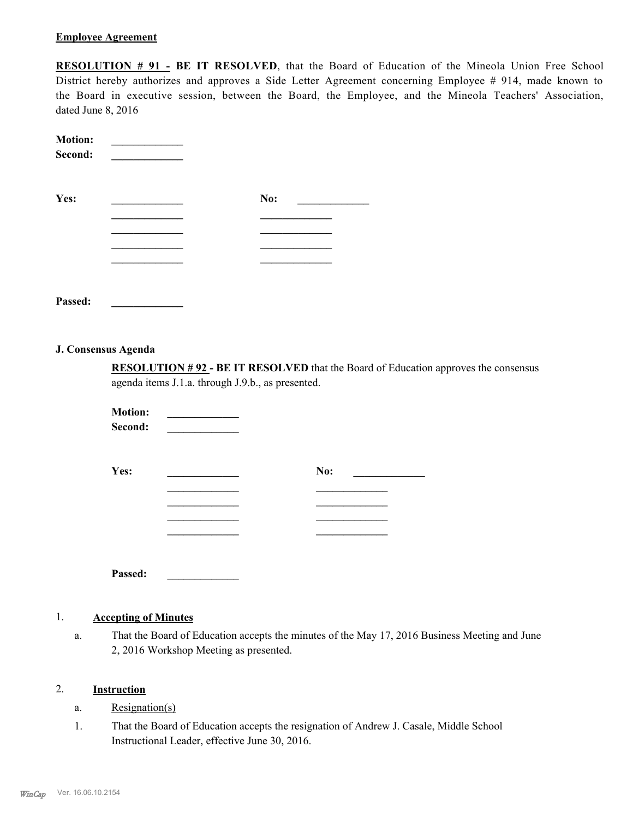#### **Employee Agreement**

**RESOLUTION # 91 - BE IT RESOLVED**, that the Board of Education of the Mineola Union Free School District hereby authorizes and approves a Side Letter Agreement concerning Employee # 914, made known to the Board in executive session, between the Board, the Employee, and the Mineola Teachers' Association, dated June 8, 2016

| <b>Motion:</b><br>Second: |     |
|---------------------------|-----|
| Yes:                      | No: |
|                           |     |
|                           |     |
|                           |     |
|                           |     |
|                           |     |
| Passed:                   |     |

#### **J. Consensus Agenda**

**RESOLUTION # 92 - BE IT RESOLVED** that the Board of Education approves the consensus agenda items J.1.a. through J.9.b., as presented.

**Motion: \_\_\_\_\_\_\_\_\_\_\_\_\_ Second: \_\_\_\_\_\_\_\_\_\_\_\_\_**

| Yes:    | No: |
|---------|-----|
|         |     |
|         |     |
|         |     |
|         |     |
|         |     |
| Passed: |     |

#### 1. **Accepting of Minutes**

That the Board of Education accepts the minutes of the May 17, 2016 Business Meeting and June 2, 2016 Workshop Meeting as presented. a.

#### 2. **Instruction**

- a. Resignation(s)
- That the Board of Education accepts the resignation of Andrew J. Casale, Middle School Instructional Leader, effective June 30, 2016. 1.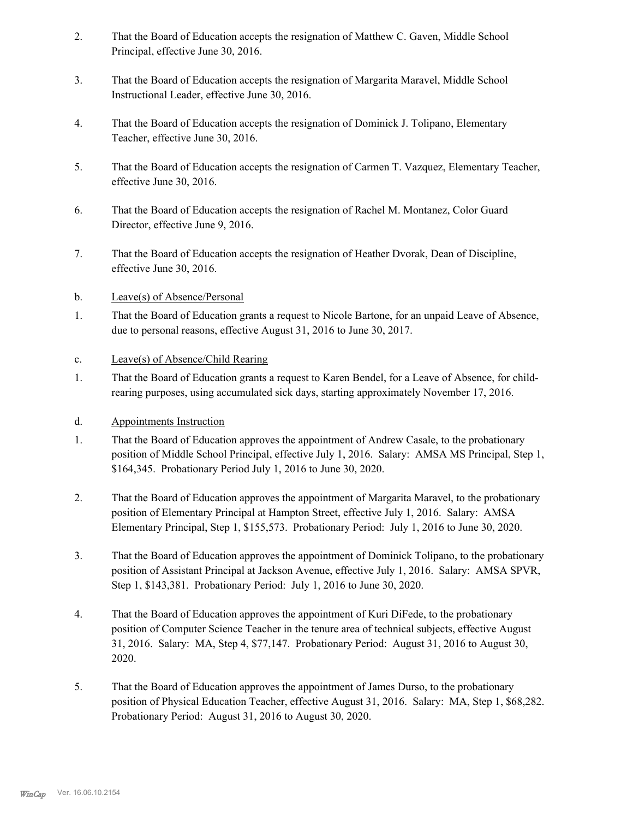- That the Board of Education accepts the resignation of Matthew C. Gaven, Middle School Principal, effective June 30, 2016. 2.
- That the Board of Education accepts the resignation of Margarita Maravel, Middle School Instructional Leader, effective June 30, 2016. 3.
- That the Board of Education accepts the resignation of Dominick J. Tolipano, Elementary Teacher, effective June 30, 2016. 4.
- That the Board of Education accepts the resignation of Carmen T. Vazquez, Elementary Teacher, effective June 30, 2016. 5.
- That the Board of Education accepts the resignation of Rachel M. Montanez, Color Guard Director, effective June 9, 2016. 6.
- That the Board of Education accepts the resignation of Heather Dvorak, Dean of Discipline, effective June 30, 2016. 7.
- b. Leave(s) of Absence/Personal
- That the Board of Education grants a request to Nicole Bartone, for an unpaid Leave of Absence, due to personal reasons, effective August 31, 2016 to June 30, 2017. 1.
- c. Leave(s) of Absence/Child Rearing
- That the Board of Education grants a request to Karen Bendel, for a Leave of Absence, for childrearing purposes, using accumulated sick days, starting approximately November 17, 2016. 1.
- d. Appointments Instruction
- That the Board of Education approves the appointment of Andrew Casale, to the probationary position of Middle School Principal, effective July 1, 2016. Salary: AMSA MS Principal, Step 1, \$164,345. Probationary Period July 1, 2016 to June 30, 2020. 1.
- That the Board of Education approves the appointment of Margarita Maravel, to the probationary position of Elementary Principal at Hampton Street, effective July 1, 2016. Salary: AMSA Elementary Principal, Step 1, \$155,573. Probationary Period: July 1, 2016 to June 30, 2020. 2.
- That the Board of Education approves the appointment of Dominick Tolipano, to the probationary position of Assistant Principal at Jackson Avenue, effective July 1, 2016. Salary: AMSA SPVR, Step 1, \$143,381. Probationary Period: July 1, 2016 to June 30, 2020. 3.
- That the Board of Education approves the appointment of Kuri DiFede, to the probationary position of Computer Science Teacher in the tenure area of technical subjects, effective August 31, 2016. Salary: MA, Step 4, \$77,147. Probationary Period: August 31, 2016 to August 30, 2020. 4.
- That the Board of Education approves the appointment of James Durso, to the probationary position of Physical Education Teacher, effective August 31, 2016. Salary: MA, Step 1, \$68,282. Probationary Period: August 31, 2016 to August 30, 2020. 5.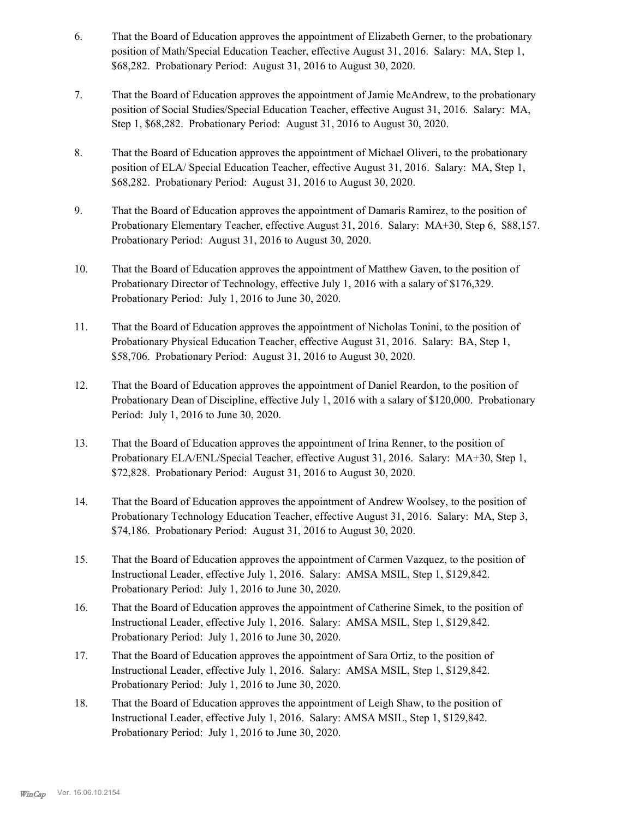- That the Board of Education approves the appointment of Elizabeth Gerner, to the probationary position of Math/Special Education Teacher, effective August 31, 2016. Salary: MA, Step 1, \$68,282. Probationary Period: August 31, 2016 to August 30, 2020. 6.
- That the Board of Education approves the appointment of Jamie McAndrew, to the probationary position of Social Studies/Special Education Teacher, effective August 31, 2016. Salary: MA, Step 1, \$68,282. Probationary Period: August 31, 2016 to August 30, 2020. 7.
- That the Board of Education approves the appointment of Michael Oliveri, to the probationary position of ELA/ Special Education Teacher, effective August 31, 2016. Salary: MA, Step 1, \$68,282. Probationary Period: August 31, 2016 to August 30, 2020. 8.
- That the Board of Education approves the appointment of Damaris Ramirez, to the position of Probationary Elementary Teacher, effective August 31, 2016. Salary: MA+30, Step 6, \$88,157. Probationary Period: August 31, 2016 to August 30, 2020. 9.
- That the Board of Education approves the appointment of Matthew Gaven, to the position of Probationary Director of Technology, effective July 1, 2016 with a salary of \$176,329. Probationary Period: July 1, 2016 to June 30, 2020. 10.
- That the Board of Education approves the appointment of Nicholas Tonini, to the position of Probationary Physical Education Teacher, effective August 31, 2016. Salary: BA, Step 1, \$58,706. Probationary Period: August 31, 2016 to August 30, 2020. 11.
- That the Board of Education approves the appointment of Daniel Reardon, to the position of Probationary Dean of Discipline, effective July 1, 2016 with a salary of \$120,000. Probationary Period: July 1, 2016 to June 30, 2020. 12.
- That the Board of Education approves the appointment of Irina Renner, to the position of Probationary ELA/ENL/Special Teacher, effective August 31, 2016. Salary: MA+30, Step 1, \$72,828. Probationary Period: August 31, 2016 to August 30, 2020. 13.
- That the Board of Education approves the appointment of Andrew Woolsey, to the position of Probationary Technology Education Teacher, effective August 31, 2016. Salary: MA, Step 3, \$74,186. Probationary Period: August 31, 2016 to August 30, 2020. 14.
- That the Board of Education approves the appointment of Carmen Vazquez, to the position of Instructional Leader, effective July 1, 2016. Salary: AMSA MSIL, Step 1, \$129,842. Probationary Period: July 1, 2016 to June 30, 2020. 15.
- That the Board of Education approves the appointment of Catherine Simek, to the position of Instructional Leader, effective July 1, 2016. Salary: AMSA MSIL, Step 1, \$129,842. Probationary Period: July 1, 2016 to June 30, 2020. 16.
- That the Board of Education approves the appointment of Sara Ortiz, to the position of Instructional Leader, effective July 1, 2016. Salary: AMSA MSIL, Step 1, \$129,842. Probationary Period: July 1, 2016 to June 30, 2020. 17.
- That the Board of Education approves the appointment of Leigh Shaw, to the position of Instructional Leader, effective July 1, 2016. Salary: AMSA MSIL, Step 1, \$129,842. Probationary Period: July 1, 2016 to June 30, 2020. 18.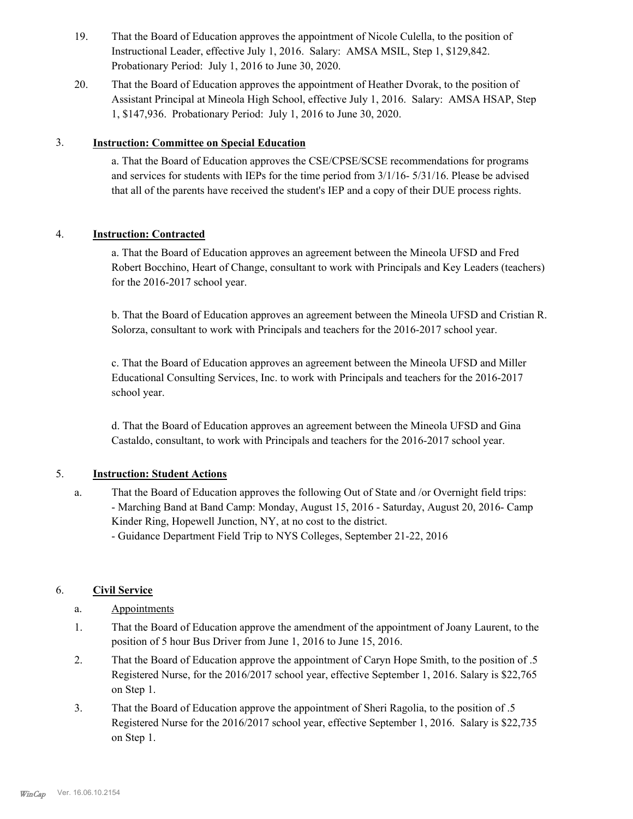- That the Board of Education approves the appointment of Nicole Culella, to the position of Instructional Leader, effective July 1, 2016. Salary: AMSA MSIL, Step 1, \$129,842. Probationary Period: July 1, 2016 to June 30, 2020. 19.
- That the Board of Education approves the appointment of Heather Dvorak, to the position of Assistant Principal at Mineola High School, effective July 1, 2016. Salary: AMSA HSAP, Step 1, \$147,936. Probationary Period: July 1, 2016 to June 30, 2020. 20.

### 3. **Instruction: Committee on Special Education**

a. That the Board of Education approves the CSE/CPSE/SCSE recommendations for programs and services for students with IEPs for the time period from 3/1/16- 5/31/16. Please be advised that all of the parents have received the student's IEP and a copy of their DUE process rights.

## 4. **Instruction: Contracted**

a. That the Board of Education approves an agreement between the Mineola UFSD and Fred Robert Bocchino, Heart of Change, consultant to work with Principals and Key Leaders (teachers) for the 2016-2017 school year.

b. That the Board of Education approves an agreement between the Mineola UFSD and Cristian R. Solorza, consultant to work with Principals and teachers for the 2016-2017 school year.

c. That the Board of Education approves an agreement between the Mineola UFSD and Miller Educational Consulting Services, Inc. to work with Principals and teachers for the 2016-2017 school year.

d. That the Board of Education approves an agreement between the Mineola UFSD and Gina Castaldo, consultant, to work with Principals and teachers for the 2016-2017 school year.

# 5. **Instruction: Student Actions**

That the Board of Education approves the following Out of State and /or Overnight field trips: - Marching Band at Band Camp: Monday, August 15, 2016 - Saturday, August 20, 2016- Camp Kinder Ring, Hopewell Junction, NY, at no cost to the district. a.

- Guidance Department Field Trip to NYS Colleges, September 21-22, 2016

# 6. **Civil Service**

- a. Appointments
- That the Board of Education approve the amendment of the appointment of Joany Laurent, to the position of 5 hour Bus Driver from June 1, 2016 to June 15, 2016. 1.
- That the Board of Education approve the appointment of Caryn Hope Smith, to the position of .5 Registered Nurse, for the 2016/2017 school year, effective September 1, 2016. Salary is \$22,765 on Step 1. 2.
- That the Board of Education approve the appointment of Sheri Ragolia, to the position of .5 Registered Nurse for the 2016/2017 school year, effective September 1, 2016. Salary is \$22,735 on Step 1. 3.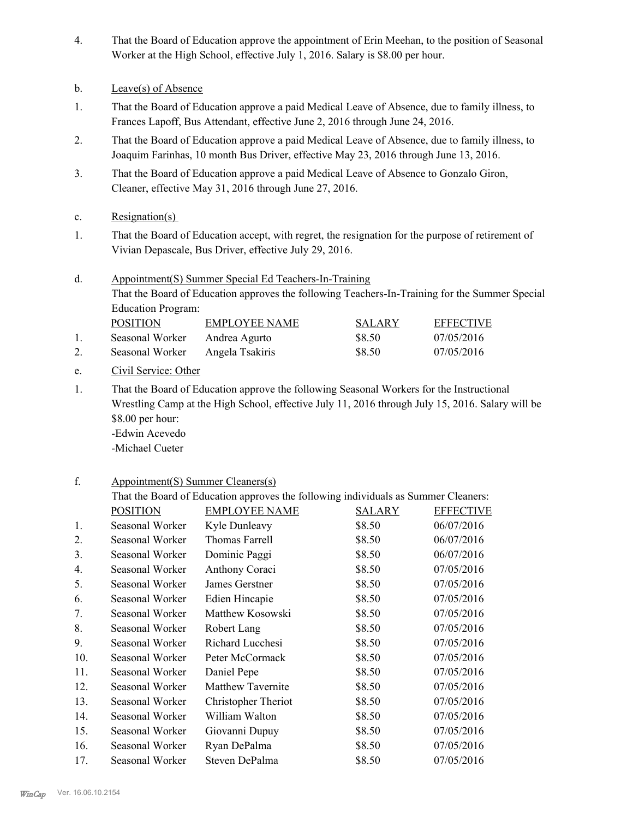- That the Board of Education approve the appointment of Erin Meehan, to the position of Seasonal Worker at the High School, effective July 1, 2016. Salary is \$8.00 per hour. 4.
- b. Leave(s) of Absence
- That the Board of Education approve a paid Medical Leave of Absence, due to family illness, to Frances Lapoff, Bus Attendant, effective June 2, 2016 through June 24, 2016. 1.
- That the Board of Education approve a paid Medical Leave of Absence, due to family illness, to Joaquim Farinhas, 10 month Bus Driver, effective May 23, 2016 through June 13, 2016. 2.
- That the Board of Education approve a paid Medical Leave of Absence to Gonzalo Giron, Cleaner, effective May 31, 2016 through June 27, 2016. 3.
- c. Resignation(s)
- That the Board of Education accept, with regret, the resignation for the purpose of retirement of Vivian Depascale, Bus Driver, effective July 29, 2016. 1.
- Appointment(S) Summer Special Ed Teachers-In-Training That the Board of Education approves the following Teachers-In-Training for the Summer Special Education Program: d. POSITION EMPLOYEE NAME SALARY EFFECTIVE

| <b>FUSITIUN</b> | ENIT LUI EE NAME | <b>SALANI</b> | <b>EFFEUIIVE</b> |
|-----------------|------------------|---------------|------------------|
| Seasonal Worker | Andrea Agurto    | \$8.50        | 07/05/2016       |
| Seasonal Worker | Angela Tsakiris  | \$8.50        | 07/05/2016       |

- e. Civil Service: Other
- That the Board of Education approve the following Seasonal Workers for the Instructional Wrestling Camp at the High School, effective July 11, 2016 through July 15, 2016. Salary will be \$8.00 per hour: -Edwin Acevedo 1.

-Michael Cueter

#### Appointment(S) Summer Cleaners(s) f.

|     | That the Board of Education approves the following individuals as Summer Cleaners: |                          |               |                  |  |
|-----|------------------------------------------------------------------------------------|--------------------------|---------------|------------------|--|
|     | <b>POSITION</b>                                                                    | <b>EMPLOYEE NAME</b>     | <b>SALARY</b> | <b>EFFECTIVE</b> |  |
| 1.  | Seasonal Worker                                                                    | Kyle Dunleavy            | \$8.50        | 06/07/2016       |  |
| 2.  | Seasonal Worker                                                                    | Thomas Farrell           | \$8.50        | 06/07/2016       |  |
| 3.  | Seasonal Worker                                                                    | Dominic Paggi            | \$8.50        | 06/07/2016       |  |
| 4.  | Seasonal Worker                                                                    | Anthony Coraci           | \$8.50        | 07/05/2016       |  |
| 5.  | Seasonal Worker                                                                    | James Gerstner           | \$8.50        | 07/05/2016       |  |
| 6.  | Seasonal Worker                                                                    | Edien Hincapie           | \$8.50        | 07/05/2016       |  |
| 7.  | Seasonal Worker                                                                    | Matthew Kosowski         | \$8.50        | 07/05/2016       |  |
| 8.  | Seasonal Worker                                                                    | Robert Lang              | \$8.50        | 07/05/2016       |  |
| 9.  | Seasonal Worker                                                                    | Richard Lucchesi         | \$8.50        | 07/05/2016       |  |
| 10. | Seasonal Worker                                                                    | Peter McCormack          | \$8.50        | 07/05/2016       |  |
| 11. | Seasonal Worker                                                                    | Daniel Pepe              | \$8.50        | 07/05/2016       |  |
| 12. | Seasonal Worker                                                                    | <b>Matthew Tavernite</b> | \$8.50        | 07/05/2016       |  |
| 13. | Seasonal Worker                                                                    | Christopher Theriot      | \$8.50        | 07/05/2016       |  |
| 14. | Seasonal Worker                                                                    | William Walton           | \$8.50        | 07/05/2016       |  |
| 15. | Seasonal Worker                                                                    | Giovanni Dupuy           | \$8.50        | 07/05/2016       |  |
| 16. | Seasonal Worker                                                                    | Ryan DePalma             | \$8.50        | 07/05/2016       |  |
| 17. | Seasonal Worker                                                                    | Steven DePalma           | \$8.50        | 07/05/2016       |  |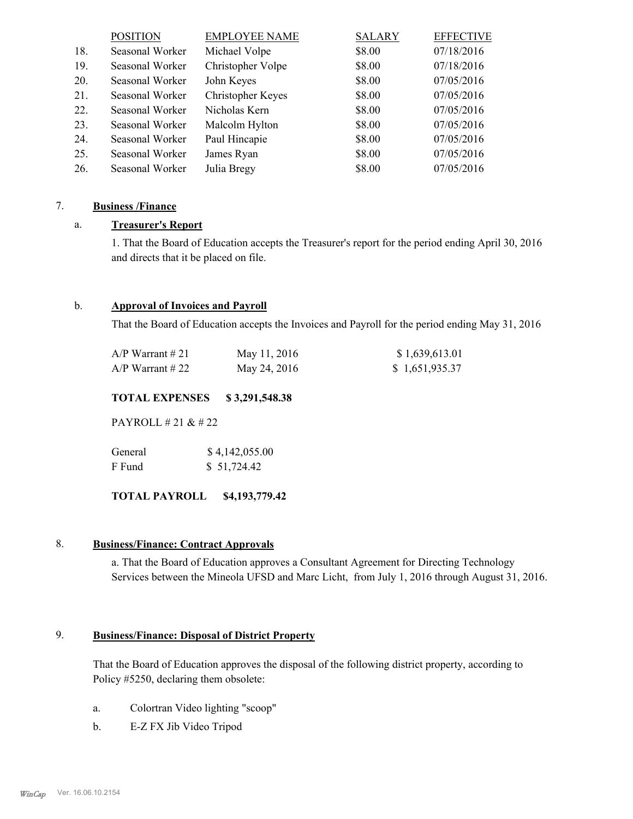|     | <b>POSITION</b> | <b>EMPLOYEE NAME</b> | <b>SALARY</b> | <b>EFFECTIVE</b> |
|-----|-----------------|----------------------|---------------|------------------|
| 18. | Seasonal Worker | Michael Volpe        | \$8.00        | 07/18/2016       |
| 19. | Seasonal Worker | Christopher Volpe    | \$8.00        | 07/18/2016       |
| 20. | Seasonal Worker | John Keyes           | \$8.00        | 07/05/2016       |
| 21. | Seasonal Worker | Christopher Keyes    | \$8.00        | 07/05/2016       |
| 22. | Seasonal Worker | Nicholas Kern        | \$8.00        | 07/05/2016       |
| 23. | Seasonal Worker | Malcolm Hylton       | \$8.00        | 07/05/2016       |
| 24. | Seasonal Worker | Paul Hincapie        | \$8.00        | 07/05/2016       |
| 25. | Seasonal Worker | James Ryan           | \$8.00        | 07/05/2016       |
| 26. | Seasonal Worker | Julia Bregy          | \$8.00        | 07/05/2016       |

### 7. **Business /Finance**

### a. **Treasurer's Report**

1. That the Board of Education accepts the Treasurer's report for the period ending April 30, 2016 and directs that it be placed on file.

#### b. **Approval of Invoices and Payroll**

That the Board of Education accepts the Invoices and Payroll for the period ending May 31, 2016

| A/P Warrant # 21 | May 11, 2016 | \$1,639,613.01 |
|------------------|--------------|----------------|
| A/P Warrant # 22 | May 24, 2016 | \$1,651,935.37 |

#### **TOTAL EXPENSES \$ 3,291,548.38**

PAYROLL # 21 & # 22

| General | \$4,142,055.00 |
|---------|----------------|
| F Fund  | \$51,724.42    |

**TOTAL PAYROLL \$4,193,779.42**

#### 8. **Business/Finance: Contract Approvals**

a. That the Board of Education approves a Consultant Agreement for Directing Technology Services between the Mineola UFSD and Marc Licht, from July 1, 2016 through August 31, 2016.

#### **Business/Finance: Disposal of District Property** 9.

That the Board of Education approves the disposal of the following district property, according to Policy #5250, declaring them obsolete:

- a. Colortran Video lighting "scoop"
- b. E-Z FX Jib Video Tripod